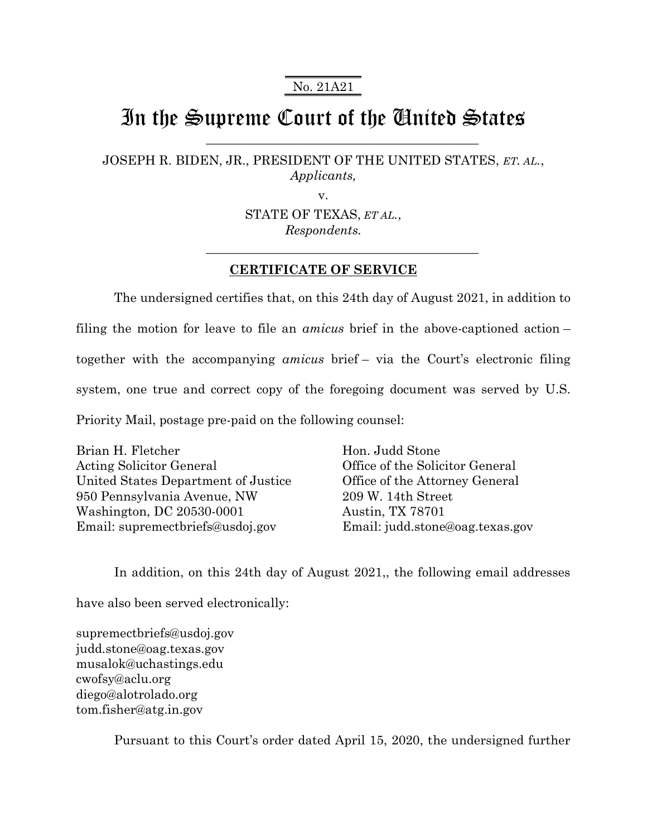No. 21A21

## In the Supreme Court of the United States

 $\mathcal{L}_\mathcal{L}$  , where  $\mathcal{L}_\mathcal{L}$  , we have the set of the set of the set of the set of the set of the set of the set of the set of the set of the set of the set of the set of the set of the set of the set of the set

\_\_\_\_\_\_\_\_\_\_\_\_\_\_\_\_\_\_\_\_\_\_\_\_\_\_\_\_\_\_\_\_\_\_\_\_\_\_\_\_\_\_\_

JOSEPH R. BIDEN, JR., PRESIDENT OF THE UNITED STATES, *ET. AL.*, *Applicants,*

v.

STATE OF TEXAS, *ET AL.*, *Respondents.*

## **CERTIFICATE OF SERVICE**

The undersigned certifies that, on this 24th day of August 2021, in addition to filing the motion for leave to file an *amicus* brief in the above-captioned action – together with the accompanying *amicus* brief – via the Court's electronic filing system, one true and correct copy of the foregoing document was served by U.S. Priority Mail, postage pre-paid on the following counsel:

Brian H. Fletcher Acting Solicitor General United States Department of Justice 950 Pennsylvania Avenue, NW Washington, DC 20530-0001 Email: supremectbriefs@usdoj.gov

Hon. Judd Stone Office of the Solicitor General Office of the Attorney General 209 W. 14th Street Austin, TX 78701 Email: judd.stone@oag.texas.gov

In addition, on this 24th day of August 2021,, the following email addresses have also been served electronically:

supremectbriefs@usdoj.gov judd.stone@oag.texas.gov musalok@uchastings.edu cwofsy@aclu.org diego@alotrolado.org tom.fisher@atg.in.gov

Pursuant to this Court's order dated April 15, 2020, the undersigned further